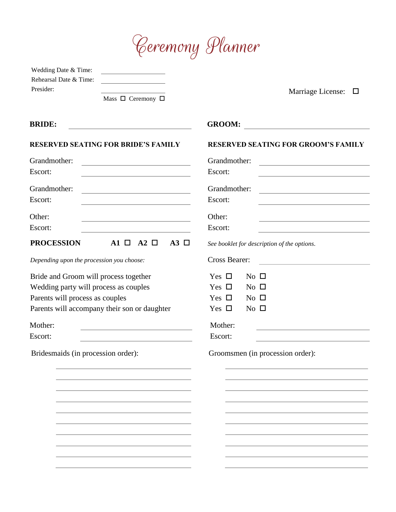

| Wedding Date & Time:   |  |
|------------------------|--|
| Rehearsal Date & Time: |  |
| Presider:              |  |

Mass  $\Box$  Ceremony  $\Box$ 

Marriage License: □

| <b>BRIDE:</b>                                                                                                                          | <b>GROOM:</b><br>the contract of the contract of the contract of the contract of the contract of the contract of the contract of     |
|----------------------------------------------------------------------------------------------------------------------------------------|--------------------------------------------------------------------------------------------------------------------------------------|
| <b>RESERVED SEATING FOR BRIDE'S FAMILY</b>                                                                                             | <b>RESERVED SEATING FOR GROOM'S FAMILY</b>                                                                                           |
| Grandmother:<br><u> 1989 - Johann Barbara, martxa alemaniar a</u>                                                                      | Grandmother:<br><u> 1980 - Johann Barn, mars ann an t-Amhain Aonaich an t-Aonaich an t-Aonaich ann an t-Aonaich ann an t-Aonaich</u> |
| Escort:                                                                                                                                | Escort:<br><u> 1980 - Johann Barbara, martin a</u>                                                                                   |
| Grandmother:<br><u> 1980 - Johann Barn, mars ann an t-Amhain Aonaich an t-Aonaich an t-Aonaich an t-Aonaich an t-Aonaich ann an t-</u> | Grandmother:<br><u> 1989 - Johann Stoff, Amerikaansk politiker (</u>                                                                 |
| Escort:<br><u> 1989 - Johann Stein, mars an deutscher Stein und der Stein und der Stein und der Stein und der Stein und der</u>        | Escort:                                                                                                                              |
| Other:                                                                                                                                 | Other:                                                                                                                               |
| Escort:                                                                                                                                | Escort:                                                                                                                              |
| <b>PROCESSION</b><br>$A1 \Box A2 \Box$<br>$A3 \Box$                                                                                    | See booklet for description of the options.                                                                                          |
| Depending upon the procession you choose:                                                                                              | <b>Cross Bearer:</b>                                                                                                                 |
| Bride and Groom will process together                                                                                                  | Yes $\Box$<br>$No$ $\square$                                                                                                         |
| Wedding party will process as couples                                                                                                  | Yes $\Box$<br>$No$ $\square$                                                                                                         |
| Parents will process as couples                                                                                                        | Yes $\Box$<br>$\rm No$ $\Box$                                                                                                        |
| Parents will accompany their son or daughter                                                                                           | $No$ $\square$<br>Yes $\Box$                                                                                                         |
| Mother:                                                                                                                                | Mother:                                                                                                                              |
| Escort:                                                                                                                                | Escort:                                                                                                                              |
| Bridesmaids (in procession order):                                                                                                     | Groomsmen (in procession order):                                                                                                     |
|                                                                                                                                        |                                                                                                                                      |
|                                                                                                                                        |                                                                                                                                      |
|                                                                                                                                        |                                                                                                                                      |
|                                                                                                                                        |                                                                                                                                      |
|                                                                                                                                        |                                                                                                                                      |
|                                                                                                                                        |                                                                                                                                      |
|                                                                                                                                        |                                                                                                                                      |
|                                                                                                                                        |                                                                                                                                      |